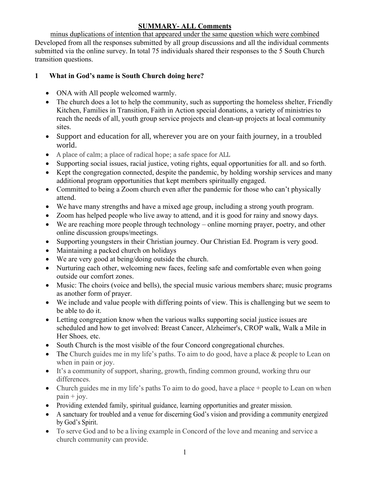### **SUMMARY- ALL Comments**

minus duplications of intention that appeared under the same question which were combined Developed from all the responses submitted by all group discussions and all the individual comments submitted via the online survey. In total 75 individuals shared their responses to the 5 South Church transition questions.

### **1 What in God's name is South Church doing here?**

- ONA with All people welcomed warmly.
- The church does a lot to help the community, such as supporting the homeless shelter, Friendly Kitchen, Families in Transition, Faith in Action special donations, a variety of ministries to reach the needs of all, youth group service projects and clean-up projects at local community sites.
- Support and education for all, wherever you are on your faith journey, in a troubled world.
- A place of calm; a place of radical hope; a safe space for ALL
- Supporting social issues, racial justice, voting rights, equal opportunities for all. and so forth.
- Kept the congregation connected, despite the pandemic, by holding worship services and many additional program opportunities that kept members spiritually engaged.
- Committed to being a Zoom church even after the pandemic for those who can't physically attend.
- We have many strengths and have a mixed age group, including a strong youth program.
- Zoom has helped people who live away to attend, and it is good for rainy and snowy days.
- We are reaching more people through technology online morning prayer, poetry, and other online discussion groups/meetings.
- Supporting youngsters in their Christian journey. Our Christian Ed. Program is very good.
- Maintaining a packed church on holidays
- We are very good at being/doing outside the church.
- Nurturing each other, welcoming new faces, feeling safe and comfortable even when going outside our comfort zones.
- Music: The choirs (voice and bells), the special music various members share; music programs as another form of prayer.
- We include and value people with differing points of view. This is challenging but we seem to be able to do it.
- Letting congregation know when the various walks supporting social justice issues are scheduled and how to get involved: Breast Cancer, Alzheimer's, CROP walk, Walk a Mile in Her Shoes*,* etc.
- South Church is the most visible of the four Concord congregational churches.
- The Church guides me in my life's paths. To aim to do good, have a place & people to Lean on when in pain or joy.
- It's a community of support, sharing, growth, finding common ground, working thru our differences.
- Church guides me in my life's paths To aim to do good, have a place + people to Lean on when  $\pi$ *pain* + *joy*.
- Providing extended family, spiritual guidance, learning opportunities and greater mission.
- A sanctuary for troubled and a venue for discerning God's vision and providing a community energized by God's Spirit.
- To serve God and to be a living example in Concord of the love and meaning and service a church community can provide.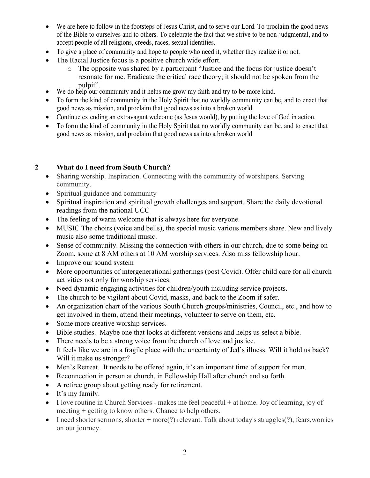- We are here to follow in the footsteps of Jesus Christ, and to serve our Lord. To proclaim the good news of the Bible to ourselves and to others. To celebrate the fact that we strive to be non-judgmental, and to accept people of all religions, creeds, races, sexual identities.
- To give a place of community and hope to people who need it, whether they realize it or not.
- The Racial Justice focus is a positive church wide effort.
	- o The opposite was shared by a participant "Justice and the focus for justice doesn't resonate for me. Eradicate the critical race theory; it should not be spoken from the
- pulpit".<br>• We do help our community and it helps me grow my faith and try to be more kind.
- To form the kind of community in the Holy Spirit that no worldly community can be, and to enact that good news as mission, and proclaim that good news as into a broken world.
- Continue extending an extravagant welcome (as Jesus would), by putting the love of God in action.
- To form the kind of community in the Holy Spirit that no worldly community can be, and to enact that good news as mission, and proclaim that good news as into a broken world

### **2 What do I need from South Church?**

- Sharing worship. Inspiration. Connecting with the community of worshipers. Serving community.
- Spiritual guidance and community
- Spiritual inspiration and spiritual growth challenges and support. Share the daily devotional readings from the national UCC
- The feeling of warm welcome that is always here for everyone.
- MUSIC The choirs (voice and bells), the special music various members share. New and lively music also some traditional music.
- Sense of community. Missing the connection with others in our church, due to some being on Zoom, some at 8 AM others at 10 AM worship services. Also miss fellowship hour.
- Improve our sound system
- More opportunities of intergenerational gatherings (post Covid). Offer child care for all church activities not only for worship services.
- Need dynamic engaging activities for children/youth including service projects.
- The church to be vigilant about Covid, masks, and back to the Zoom if safer.
- An organization chart of the various South Church groups/ministries, Council, etc., and how to get involved in them, attend their meetings, volunteer to serve on them, etc.
- Some more creative worship services.
- Bible studies. Maybe one that looks at different versions and helps us select a bible.
- There needs to be a strong voice from the church of love and justice.
- It feels like we are in a fragile place with the uncertainty of Jed's illness. Will it hold us back? Will it make us stronger?
- Men's Retreat. It needs to be offered again, it's an important time of support for men.
- Reconnection in person at church, in Fellowship Hall after church and so forth.
- A retiree group about getting ready for retirement.
- It's my family.
- I love routine in Church Services makes me feel peaceful + at home. Joy of learning, joy of meeting + getting to know others. Chance to help others.
- I need shorter sermons, shorter  $+$  more(?) relevant. Talk about today's struggles(?), fears, worries on our journey.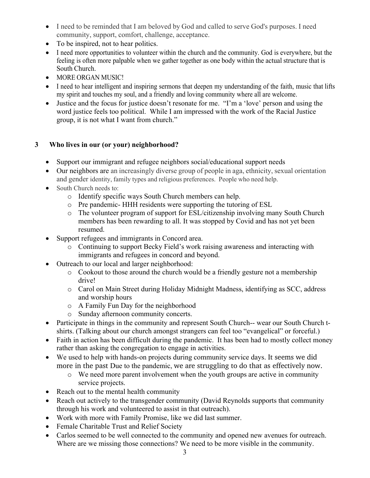- I need to be reminded that I am beloved by God and called to serve God's purposes. I need community, support, comfort, challenge, acceptance.
- To be inspired, not to hear politics.
- I need more opportunities to volunteer within the church and the community. God is everywhere, but the feeling is often more palpable when we gather together as one body within the actual structure that is South Church.
- MORE ORGAN MUSIC!
- I need to hear intelligent and inspiring sermons that deepen my understanding of the faith, music that lifts my spirit and touches my soul, and a friendly and loving community where all are welcome.
- Justice and the focus for justice doesn't resonate for me. "I'm a 'love' person and using the word justice feels too political. While I am impressed with the work of the Racial Justice group, it is not what I want from church."

# **3 Who lives in our (or your) neighborhood?**

- Support our immigrant and refugee neighbors social/educational support needs
- Our neighbors are an increasingly diverse group of people in aga, ethnicity, sexual orientation and gender identity, family types and religious preferences. People who need help.
- South Church needs to:
	- o Identify specific ways South Church members can help.
	- o Pre pandemic- HHH residents were supporting the tutoring of ESL
	- o The volunteer program of support for ESL/citizenship involving many South Church members has been rewarding to all. It was stopped by Covid and has not yet been resumed.
- Support refugees and immigrants in Concord area.
	- o Continuing to support Becky Field's work raising awareness and interacting with immigrants and refugees in concord and beyond.
- Outreach to our local and larger neighborhood:
	- o Cookout to those around the church would be a friendly gesture not a membership drive!
	- o Carol on Main Street during Holiday Midnight Madness, identifying as SCC, address and worship hours
	- o A Family Fun Day for the neighborhood
	- o Sunday afternoon community concerts.
- Participate in things in the community and represent South Church-- wear our South Church tshirts. (Talking about our church amongst strangers can feel too "evangelical" or forceful.)
- Faith in action has been difficult during the pandemic. It has been had to mostly collect money rather than asking the congregation to engage in activities.
- We used to help with hands-on projects during community service days. It seems we did more in the past Due to the pandemic, we are struggling to do that as effectively now.
	- o We need more parent involvement when the youth groups are active in community service projects.
- Reach out to the mental health community
- Reach out actively to the transgender community (David Reynolds supports that community through his work and volunteered to assist in that outreach).
- Work with more with Family Promise, like we did last summer.
- Female Charitable Trust and Relief Society
- Carlos seemed to be well connected to the community and opened new avenues for outreach. Where are we missing those connections? We need to be more visible in the community.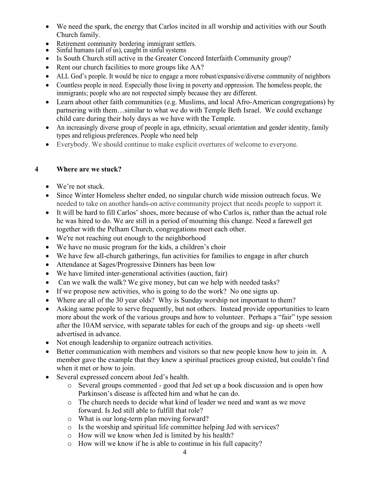- We need the spark, the energy that Carlos incited in all worship and activities with our South Church family.
- Retirement community bordering immigrant settlers.<br>• Sinful humans (all of us), caught in sinful systems
- 
- Is South Church still active in the Greater Concord Interfaith Community group?
- Rent our church facilities to more groups like AA?
- ALL God's people. It would be nice to engage a more robust/expansive/diverse community of neighbors
- Countless people in need. Especially those living in poverty and oppression. The homeless people, the immigrants; people who are not respected simply because they are different.
- Learn about other faith communities (e.g. Muslims, and local Afro-American congregations) by partnering with them…similar to what we do with Temple Beth Israel. We could exchange child care during their holy days as we have with the Temple.
- An increasingly diverse group of people in aga, ethnicity, sexual orientation and gender identity, family types and religious preferences. People who need help
- Everybody. We should continue to make explicit overtures of welcome to everyone.

### **4 Where are we stuck?**

- We're not stuck.
- Since Winter Homeless shelter ended, no singular church wide mission outreach focus. We needed to take on another hands-on active community project that needs people to support it.
- It will be hard to fill Carlos' shoes, more because of who Carlos is, rather than the actual role he was hired to do. We are still in a period of mourning this change. Need a farewell get together with the Pelham Church, congregations meet each other.
- We're not reaching out enough to the neighborhood
- We have no music program for the kids, a children's choir
- We have few all-church gatherings, fun activities for families to engage in after church
- Attendance at Sages/Progressive Dinners has been low
- We have limited inter-generational activities (auction, fair)
- Can we walk the walk? We give money, but can we help with needed tasks?
- If we propose new activities, who is going to do the work? No one signs up.
- Where are all of the 30 year olds? Why is Sunday worship not important to them?
- Asking same people to serve frequently, but not others. Instead provide opportunities to learn more about the work of the various groups and how to volunteer. Perhaps a "fair" type session after the 10AM service, with separate tables for each of the groups and sig- up sheets -well advertised in advance.
- Not enough leadership to organize outreach activities.
- Better communication with members and visitors so that new people know how to join in. A member gave the example that they knew a spiritual practices group existed, but couldn't find when it met or how to join.
- Several expressed concern about Jed's health.
	- o Several groups commented good that Jed set up a book discussion and is open how Parkinson's disease is affected him and what he can do.
	- o The church needs to decide what kind of leader we need and want as we move forward. Is Jed still able to fulfill that role?
	- o What is our long-term plan moving forward?
	- o Is the worship and spiritual life committee helping Jed with services?
	- o How will we know when Jed is limited by his health?
	- o How will we know if he is able to continue in his full capacity?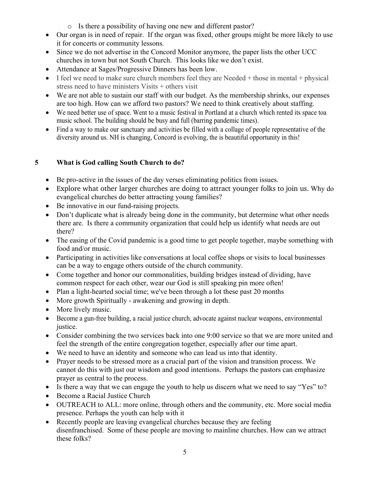- o Is there a possibility of having one new and different pastor?
- Our organ is in need of repair. If the organ was fixed, other groups might be more likely to use it for concerts or community lessons.
- Since we do not advertise in the Concord Monitor anymore, the paper lists the other UCC churches in town but not South Church. This looks like we don't exist.
- Attendance at Sages/Progressive Dinners has been low.
- I feel we need to make sure church members feel they are Needed  $+$  those in mental  $+$  physical stress need to have ministers Visits + others visit
- We are not able to sustain our staff with our budget. As the membership shrinks, our expenses are too high. How can we afford two pastors? We need to think creatively about staffing.
- We need better use of space. Went to a music festival in Portland at a church which rented its space toa music school. The building should be busy and full (barring pandemic times).
- Find a way to make our sanctuary and activities be filled with a collage of people representative of the diversity around us. NH is changing, Concord is evolving, the is beautiful opportunity in this!

## **5 What is God calling South Church to do?**

- Be pro-active in the issues of the day verses eliminating politics from issues.
- Explore what other larger churches are doing to attract younger folks to join us. Why do evangelical churches do better attracting young families?
- Be innovative in our fund-raising projects.
- Don't duplicate what is already being done in the community, but determine what other needs there are. Is there a community organization that could help us identify what needs are out there?
- The easing of the Covid pandemic is a good time to get people together, maybe something with food and/or music.
- Participating in activities like conversations at local coffee shops or visits to local businesses can be a way to engage others outside of the church community.
- Come together and honor our commonalities, building bridges instead of dividing, have common respect for each other, wear our God is still speaking pin more often!
- Plan a light-hearted social time; we've been through a lot these past 20 months
- More growth Spiritually awakening and growing in depth.
- More lively music.
- Become a gun-free building, a racial justice church, advocate against nuclear weapons, environmental justice.
- Consider combining the two services back into one 9:00 service so that we are more united and feel the strength of the entire congregation together, especially after our time apart.
- We need to have an identity and someone who can lead us into that identity.
- Prayer needs to be stressed more as a crucial part of the vision and transition process. We cannot do this with just our wisdom and good intentions. Perhaps the pastors can emphasize prayer as central to the process.
- Is there a way that we can engage the youth to help us discern what we need to say "Yes" to?
- Become a Racial Justice Church
- OUTREACH to ALL: more online, through others and the community, etc. More social media presence. Perhaps the youth can help with it
- Recently people are leaving evangelical churches because they are feeling disenfranchised. Some of these people are moving to mainline churches. How can we attract these folks?